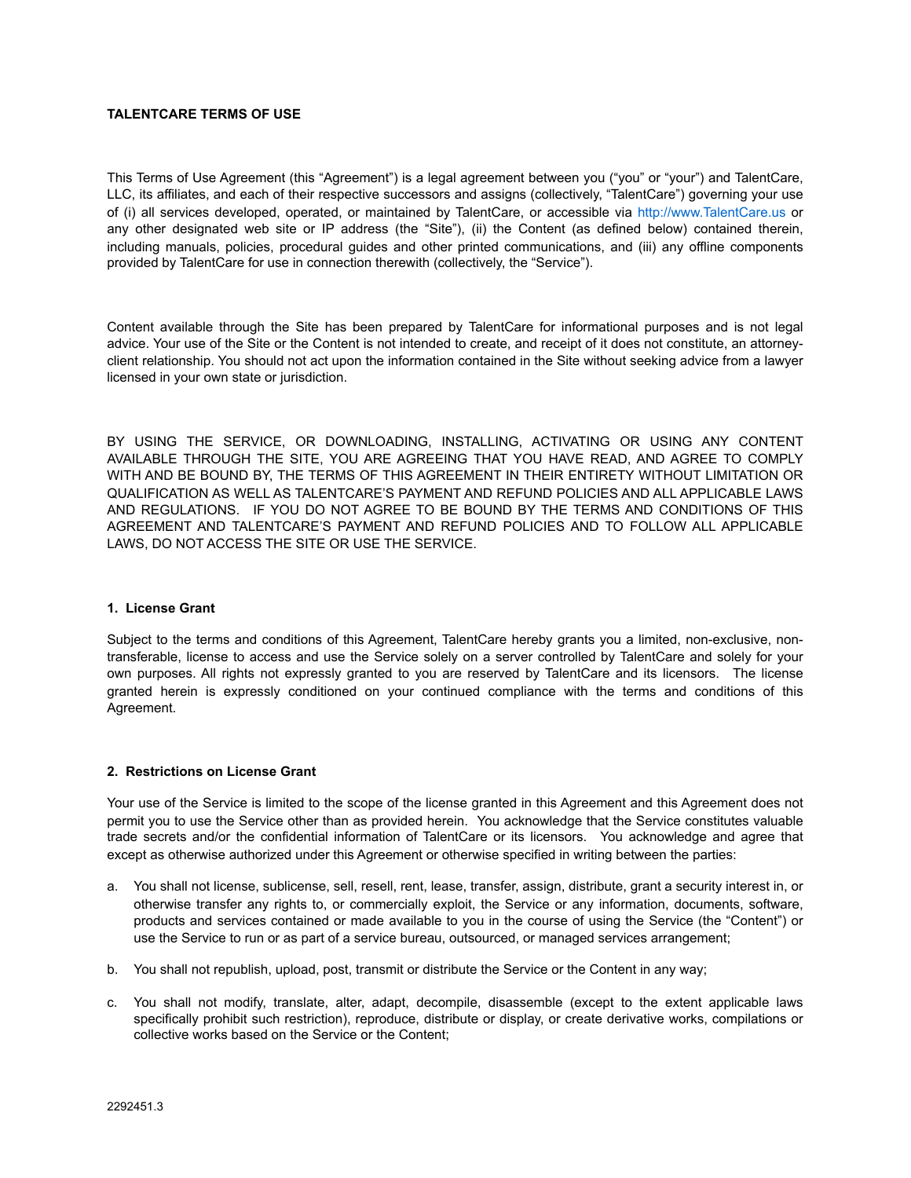# **TALENTCARE TERMS OF USE**

This Terms of Use Agreement (this "Agreement") is a legal agreement between you ("you" or "your") and TalentCare, LLC, its affiliates, and each of their respective successors and assigns (collectively, "TalentCare") governing your use of (i) all services developed, operated, or maintained by TalentCare, or accessible via http://www.TalentCare.us or any other designated web site or IP address (the "Site"), (ii) the Content (as defined below) contained therein, including manuals, policies, procedural guides and other printed communications, and (iii) any offline components provided by TalentCare for use in connection therewith (collectively, the "Service").

Content available through the Site has been prepared by TalentCare for informational purposes and is not legal advice. Your use of the Site or the Content is not intended to create, and receipt of it does not constitute, an attorneyclient relationship. You should not act upon the information contained in the Site without seeking advice from a lawyer licensed in your own state or jurisdiction.

BY USING THE SERVICE, OR DOWNLOADING, INSTALLING, ACTIVATING OR USING ANY CONTENT AVAILABLE THROUGH THE SITE, YOU ARE AGREEING THAT YOU HAVE READ, AND AGREE TO COMPLY WITH AND BE BOUND BY, THE TERMS OF THIS AGREEMENT IN THEIR ENTIRETY WITHOUT LIMITATION OR QUALIFICATION AS WELL AS TALENTCARE'S PAYMENT AND REFUND POLICIES AND ALL APPLICABLE LAWS AND REGULATIONS. IF YOU DO NOT AGREE TO BE BOUND BY THE TERMS AND CONDITIONS OF THIS AGREEMENT AND TALENTCARE'S PAYMENT AND REFUND POLICIES AND TO FOLLOW ALL APPLICABLE LAWS, DO NOT ACCESS THE SITE OR USE THE SERVICE.

## **1. License Grant**

Subject to the terms and conditions of this Agreement, TalentCare hereby grants you a limited, non-exclusive, nontransferable, license to access and use the Service solely on a server controlled by TalentCare and solely for your own purposes. All rights not expressly granted to you are reserved by TalentCare and its licensors. The license granted herein is expressly conditioned on your continued compliance with the terms and conditions of this Agreement.

## **2. Restrictions on License Grant**

Your use of the Service is limited to the scope of the license granted in this Agreement and this Agreement does not permit you to use the Service other than as provided herein. You acknowledge that the Service constitutes valuable trade secrets and/or the confidential information of TalentCare or its licensors. You acknowledge and agree that except as otherwise authorized under this Agreement or otherwise specified in writing between the parties:

- a. You shall not license, sublicense, sell, resell, rent, lease, transfer, assign, distribute, grant a security interest in, or otherwise transfer any rights to, or commercially exploit, the Service or any information, documents, software, products and services contained or made available to you in the course of using the Service (the "Content") or use the Service to run or as part of a service bureau, outsourced, or managed services arrangement;
- b. You shall not republish, upload, post, transmit or distribute the Service or the Content in any way;
- c. You shall not modify, translate, alter, adapt, decompile, disassemble (except to the extent applicable laws specifically prohibit such restriction), reproduce, distribute or display, or create derivative works, compilations or collective works based on the Service or the Content;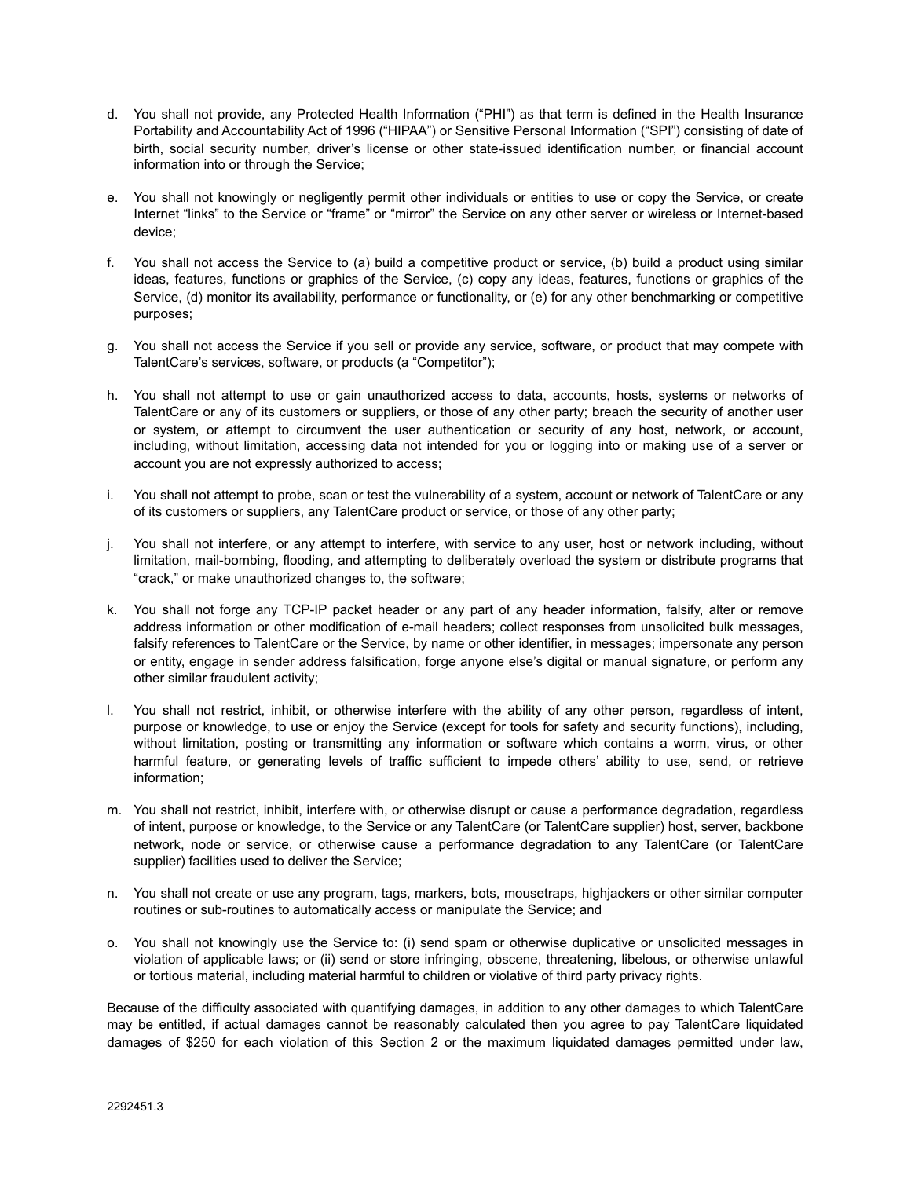- d. You shall not provide, any Protected Health Information ("PHI") as that term is defined in the Health Insurance Portability and Accountability Act of 1996 ("HIPAA") or Sensitive Personal Information ("SPI") consisting of date of birth, social security number, driver's license or other state-issued identification number, or financial account information into or through the Service;
- e. You shall not knowingly or negligently permit other individuals or entities to use or copy the Service, or create Internet "links" to the Service or "frame" or "mirror" the Service on any other server or wireless or Internet-based device;
- f. You shall not access the Service to (a) build a competitive product or service, (b) build a product using similar ideas, features, functions or graphics of the Service, (c) copy any ideas, features, functions or graphics of the Service, (d) monitor its availability, performance or functionality, or (e) for any other benchmarking or competitive purposes;
- g. You shall not access the Service if you sell or provide any service, software, or product that may compete with TalentCare's services, software, or products (a "Competitor");
- h. You shall not attempt to use or gain unauthorized access to data, accounts, hosts, systems or networks of TalentCare or any of its customers or suppliers, or those of any other party; breach the security of another user or system, or attempt to circumvent the user authentication or security of any host, network, or account, including, without limitation, accessing data not intended for you or logging into or making use of a server or account you are not expressly authorized to access;
- i. You shall not attempt to probe, scan or test the vulnerability of a system, account or network of TalentCare or any of its customers or suppliers, any TalentCare product or service, or those of any other party;
- j. You shall not interfere, or any attempt to interfere, with service to any user, host or network including, without limitation, mail-bombing, flooding, and attempting to deliberately overload the system or distribute programs that "crack," or make unauthorized changes to, the software;
- k. You shall not forge any TCP-IP packet header or any part of any header information, falsify, alter or remove address information or other modification of e-mail headers; collect responses from unsolicited bulk messages, falsify references to TalentCare or the Service, by name or other identifier, in messages; impersonate any person or entity, engage in sender address falsification, forge anyone else's digital or manual signature, or perform any other similar fraudulent activity;
- l. You shall not restrict, inhibit, or otherwise interfere with the ability of any other person, regardless of intent, purpose or knowledge, to use or enjoy the Service (except for tools for safety and security functions), including, without limitation, posting or transmitting any information or software which contains a worm, virus, or other harmful feature, or generating levels of traffic sufficient to impede others' ability to use, send, or retrieve information;
- m. You shall not restrict, inhibit, interfere with, or otherwise disrupt or cause a performance degradation, regardless of intent, purpose or knowledge, to the Service or any TalentCare (or TalentCare supplier) host, server, backbone network, node or service, or otherwise cause a performance degradation to any TalentCare (or TalentCare supplier) facilities used to deliver the Service;
- n. You shall not create or use any program, tags, markers, bots, mousetraps, highjackers or other similar computer routines or sub-routines to automatically access or manipulate the Service; and
- o. You shall not knowingly use the Service to: (i) send spam or otherwise duplicative or unsolicited messages in violation of applicable laws; or (ii) send or store infringing, obscene, threatening, libelous, or otherwise unlawful or tortious material, including material harmful to children or violative of third party privacy rights.

Because of the difficulty associated with quantifying damages, in addition to any other damages to which TalentCare may be entitled, if actual damages cannot be reasonably calculated then you agree to pay TalentCare liquidated damages of \$250 for each violation of this Section 2 or the maximum liquidated damages permitted under law,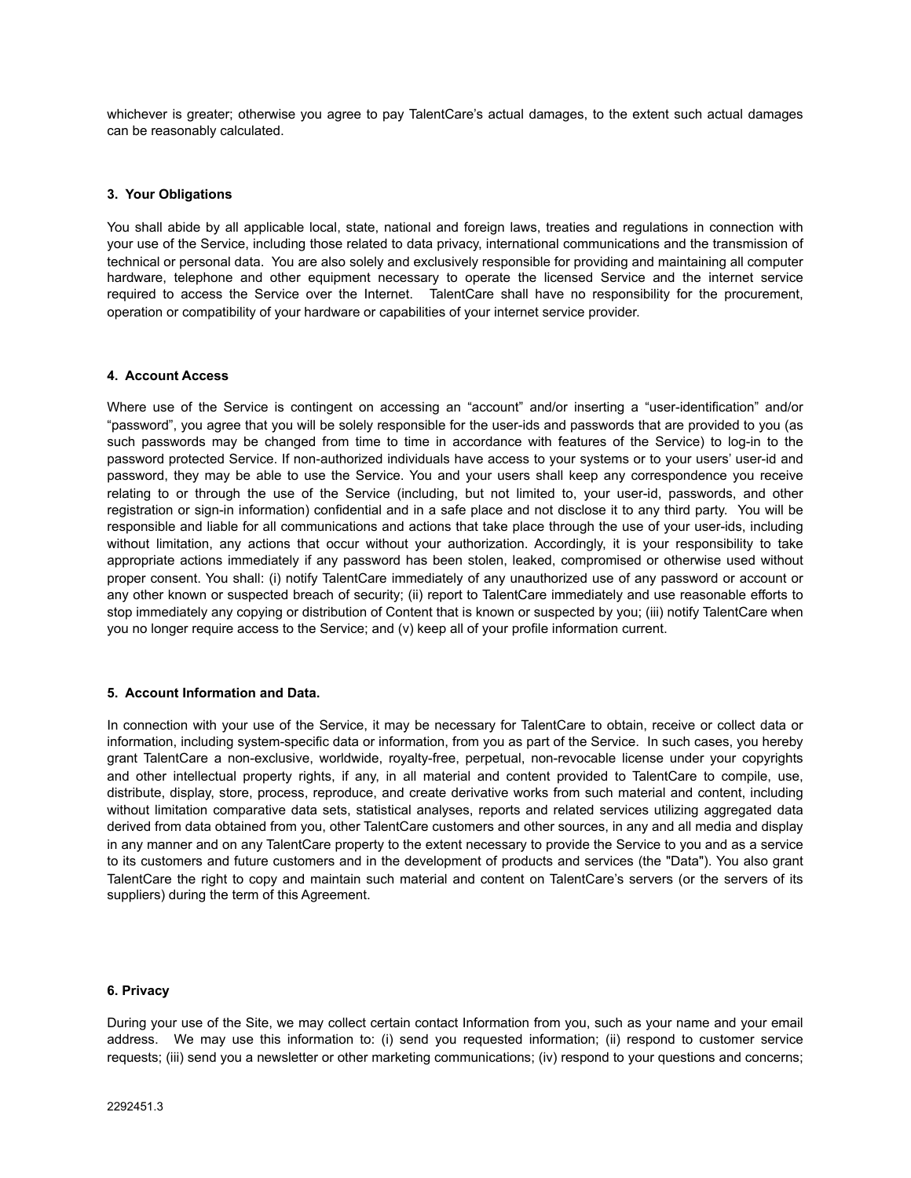whichever is greater; otherwise you agree to pay TalentCare's actual damages, to the extent such actual damages can be reasonably calculated.

### **3. Your Obligations**

You shall abide by all applicable local, state, national and foreign laws, treaties and regulations in connection with your use of the Service, including those related to data privacy, international communications and the transmission of technical or personal data. You are also solely and exclusively responsible for providing and maintaining all computer hardware, telephone and other equipment necessary to operate the licensed Service and the internet service required to access the Service over the Internet. TalentCare shall have no responsibility for the procurement, operation or compatibility of your hardware or capabilities of your internet service provider.

#### **4. Account Access**

Where use of the Service is contingent on accessing an "account" and/or inserting a "user-identification" and/or "password", you agree that you will be solely responsible for the user-ids and passwords that are provided to you (as such passwords may be changed from time to time in accordance with features of the Service) to log-in to the password protected Service. If non-authorized individuals have access to your systems or to your users' user-id and password, they may be able to use the Service. You and your users shall keep any correspondence you receive relating to or through the use of the Service (including, but not limited to, your user-id, passwords, and other registration or sign-in information) confidential and in a safe place and not disclose it to any third party. You will be responsible and liable for all communications and actions that take place through the use of your user-ids, including without limitation, any actions that occur without your authorization. Accordingly, it is your responsibility to take appropriate actions immediately if any password has been stolen, leaked, compromised or otherwise used without proper consent. You shall: (i) notify TalentCare immediately of any unauthorized use of any password or account or any other known or suspected breach of security; (ii) report to TalentCare immediately and use reasonable efforts to stop immediately any copying or distribution of Content that is known or suspected by you; (iii) notify TalentCare when you no longer require access to the Service; and (v) keep all of your profile information current.

#### **5. Account Information and Data.**

In connection with your use of the Service, it may be necessary for TalentCare to obtain, receive or collect data or information, including system-specific data or information, from you as part of the Service. In such cases, you hereby grant TalentCare a non-exclusive, worldwide, royalty-free, perpetual, non-revocable license under your copyrights and other intellectual property rights, if any, in all material and content provided to TalentCare to compile, use, distribute, display, store, process, reproduce, and create derivative works from such material and content, including without limitation comparative data sets, statistical analyses, reports and related services utilizing aggregated data derived from data obtained from you, other TalentCare customers and other sources, in any and all media and display in any manner and on any TalentCare property to the extent necessary to provide the Service to you and as a service to its customers and future customers and in the development of products and services (the "Data"). You also grant TalentCare the right to copy and maintain such material and content on TalentCare's servers (or the servers of its suppliers) during the term of this Agreement.

#### **6. Privacy**

During your use of the Site, we may collect certain contact Information from you, such as your name and your email address. We may use this information to: (i) send you requested information; (ii) respond to customer service requests; (iii) send you a newsletter or other marketing communications; (iv) respond to your questions and concerns;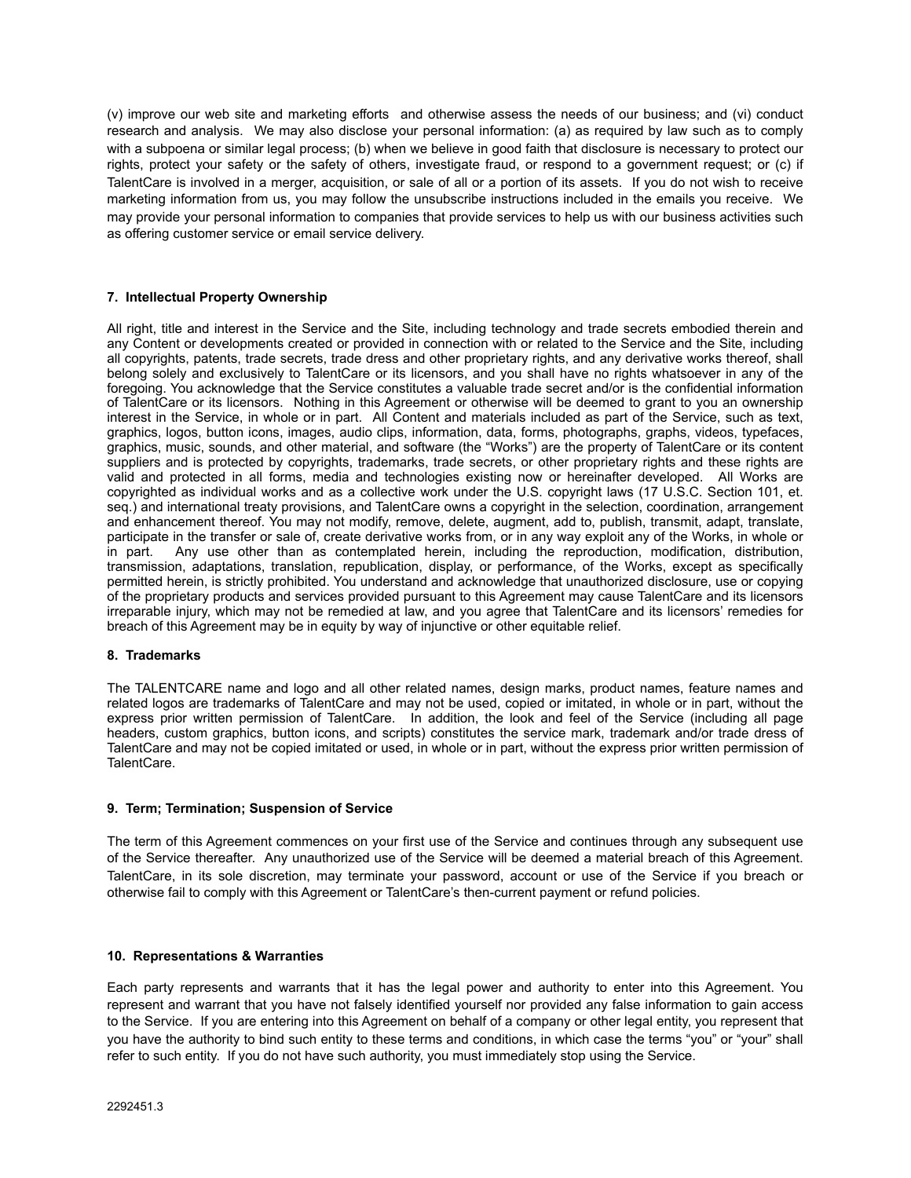(v) improve our web site and marketing efforts and otherwise assess the needs of our business; and (vi) conduct research and analysis. We may also disclose your personal information: (a) as required by law such as to comply with a subpoena or similar legal process; (b) when we believe in good faith that disclosure is necessary to protect our rights, protect your safety or the safety of others, investigate fraud, or respond to a government request; or (c) if TalentCare is involved in a merger, acquisition, or sale of all or a portion of its assets. If you do not wish to receive marketing information from us, you may follow the unsubscribe instructions included in the emails you receive. We may provide your personal information to companies that provide services to help us with our business activities such as offering customer service or email service delivery.

# **7. Intellectual Property Ownership**

All right, title and interest in the Service and the Site, including technology and trade secrets embodied therein and any Content or developments created or provided in connection with or related to the Service and the Site, including all copyrights, patents, trade secrets, trade dress and other proprietary rights, and any derivative works thereof, shall belong solely and exclusively to TalentCare or its licensors, and you shall have no rights whatsoever in any of the foregoing. You acknowledge that the Service constitutes a valuable trade secret and/or is the confidential information of TalentCare or its licensors. Nothing in this Agreement or otherwise will be deemed to grant to you an ownership interest in the Service, in whole or in part. All Content and materials included as part of the Service, such as text, graphics, logos, button icons, images, audio clips, information, data, forms, photographs, graphs, videos, typefaces, graphics, music, sounds, and other material, and software (the "Works") are the property of TalentCare or its content suppliers and is protected by copyrights, trademarks, trade secrets, or other proprietary rights and these rights are valid and protected in all forms, media and technologies existing now or hereinafter developed. All Works are copyrighted as individual works and as a collective work under the U.S. copyright laws (17 U.S.C. Section 101, et. seq.) and international treaty provisions, and TalentCare owns a copyright in the selection, coordination, arrangement and enhancement thereof. You may not modify, remove, delete, augment, add to, publish, transmit, adapt, translate, participate in the transfer or sale of, create derivative works from, or in any way exploit any of the Works, in whole or in part. Any use other than as contemplated herein, including the reproduction, modification, distribution, transmission, adaptations, translation, republication, display, or performance, of the Works, except as specifically permitted herein, is strictly prohibited. You understand and acknowledge that unauthorized disclosure, use or copying of the proprietary products and services provided pursuant to this Agreement may cause TalentCare and its licensors irreparable injury, which may not be remedied at law, and you agree that TalentCare and its licensors' remedies for breach of this Agreement may be in equity by way of injunctive or other equitable relief.

## **8. Trademarks**

The TALENTCARE name and logo and all other related names, design marks, product names, feature names and related logos are trademarks of TalentCare and may not be used, copied or imitated, in whole or in part, without the express prior written permission of TalentCare. In addition, the look and feel of the Service (including all page headers, custom graphics, button icons, and scripts) constitutes the service mark, trademark and/or trade dress of TalentCare and may not be copied imitated or used, in whole or in part, without the express prior written permission of TalentCare.

## **9. Term; Termination; Suspension of Service**

The term of this Agreement commences on your first use of the Service and continues through any subsequent use of the Service thereafter. Any unauthorized use of the Service will be deemed a material breach of this Agreement. TalentCare, in its sole discretion, may terminate your password, account or use of the Service if you breach or otherwise fail to comply with this Agreement or TalentCare's then-current payment or refund policies.

## **10. Representations & Warranties**

Each party represents and warrants that it has the legal power and authority to enter into this Agreement. You represent and warrant that you have not falsely identified yourself nor provided any false information to gain access to the Service. If you are entering into this Agreement on behalf of a company or other legal entity, you represent that you have the authority to bind such entity to these terms and conditions, in which case the terms "you" or "your" shall refer to such entity. If you do not have such authority, you must immediately stop using the Service.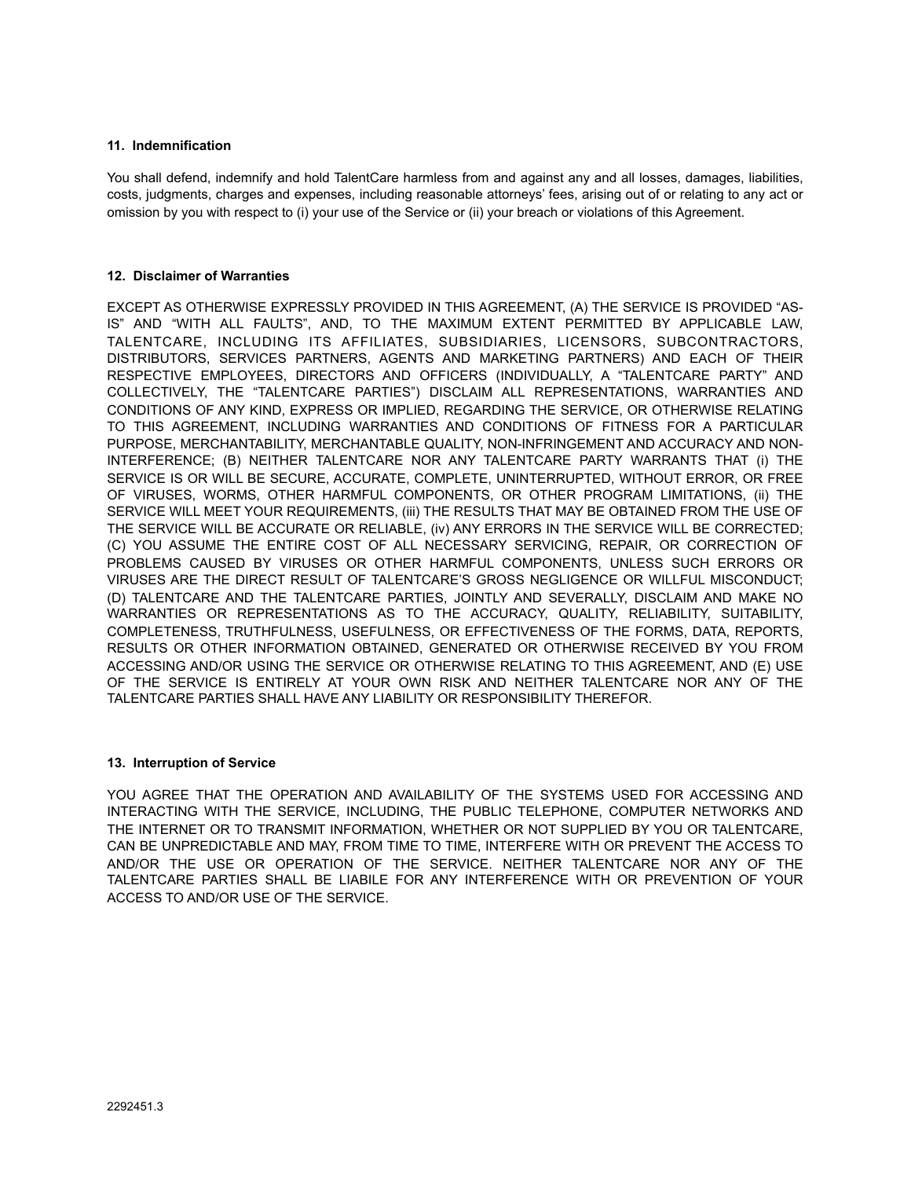## **11. Indemnification**

You shall defend, indemnify and hold TalentCare harmless from and against any and all losses, damages, liabilities, costs, judgments, charges and expenses, including reasonable attorneys' fees, arising out of or relating to any act or omission by you with respect to (i) your use of the Service or (ii) your breach or violations of this Agreement.

# **12. Disclaimer of Warranties**

EXCEPT AS OTHERWISE EXPRESSLY PROVIDED IN THIS AGREEMENT, (A) THE SERVICE IS PROVIDED "AS-IS" AND "WITH ALL FAULTS", AND, TO THE MAXIMUM EXTENT PERMITTED BY APPLICABLE LAW, TALENTCARE, INCLUDING ITS AFFILIATES, SUBSIDIARIES, LICENSORS, SUBCONTRACTORS, DISTRIBUTORS, SERVICES PARTNERS, AGENTS AND MARKETING PARTNERS) AND EACH OF THEIR RESPECTIVE EMPLOYEES, DIRECTORS AND OFFICERS (INDIVIDUALLY, A "TALENTCARE PARTY" AND COLLECTIVELY, THE "TALENTCARE PARTIES") DISCLAIM ALL REPRESENTATIONS, WARRANTIES AND CONDITIONS OF ANY KIND, EXPRESS OR IMPLIED, REGARDING THE SERVICE, OR OTHERWISE RELATING TO THIS AGREEMENT, INCLUDING WARRANTIES AND CONDITIONS OF FITNESS FOR A PARTICULAR PURPOSE, MERCHANTABILITY, MERCHANTABLE QUALITY, NON-INFRINGEMENT AND ACCURACY AND NON-INTERFERENCE; (B) NEITHER TALENTCARE NOR ANY TALENTCARE PARTY WARRANTS THAT (i) THE SERVICE IS OR WILL BE SECURE, ACCURATE, COMPLETE, UNINTERRUPTED, WITHOUT ERROR, OR FREE OF VIRUSES, WORMS, OTHER HARMFUL COMPONENTS, OR OTHER PROGRAM LIMITATIONS, (ii) THE SERVICE WILL MEET YOUR REQUIREMENTS, (iii) THE RESULTS THAT MAY BE OBTAINED FROM THE USE OF THE SERVICE WILL BE ACCURATE OR RELIABLE, (iv) ANY ERRORS IN THE SERVICE WILL BE CORRECTED; (C) YOU ASSUME THE ENTIRE COST OF ALL NECESSARY SERVICING, REPAIR, OR CORRECTION OF PROBLEMS CAUSED BY VIRUSES OR OTHER HARMFUL COMPONENTS, UNLESS SUCH ERRORS OR VIRUSES ARE THE DIRECT RESULT OF TALENTCARE'S GROSS NEGLIGENCE OR WILLFUL MISCONDUCT; (D) TALENTCARE AND THE TALENTCARE PARTIES, JOINTLY AND SEVERALLY, DISCLAIM AND MAKE NO WARRANTIES OR REPRESENTATIONS AS TO THE ACCURACY, QUALITY, RELIABILITY, SUITABILITY, COMPLETENESS, TRUTHFULNESS, USEFULNESS, OR EFFECTIVENESS OF THE FORMS, DATA, REPORTS, RESULTS OR OTHER INFORMATION OBTAINED, GENERATED OR OTHERWISE RECEIVED BY YOU FROM ACCESSING AND/OR USING THE SERVICE OR OTHERWISE RELATING TO THIS AGREEMENT, AND (E) USE OF THE SERVICE IS ENTIRELY AT YOUR OWN RISK AND NEITHER TALENTCARE NOR ANY OF THE TALENTCARE PARTIES SHALL HAVE ANY LIABILITY OR RESPONSIBILITY THEREFOR.

## **13. Interruption of Service**

YOU AGREE THAT THE OPERATION AND AVAILABILITY OF THE SYSTEMS USED FOR ACCESSING AND INTERACTING WITH THE SERVICE, INCLUDING, THE PUBLIC TELEPHONE, COMPUTER NETWORKS AND THE INTERNET OR TO TRANSMIT INFORMATION, WHETHER OR NOT SUPPLIED BY YOU OR TALENTCARE, CAN BE UNPREDICTABLE AND MAY, FROM TIME TO TIME, INTERFERE WITH OR PREVENT THE ACCESS TO AND/OR THE USE OR OPERATION OF THE SERVICE. NEITHER TALENTCARE NOR ANY OF THE TALENTCARE PARTIES SHALL BE LIABILE FOR ANY INTERFERENCE WITH OR PREVENTION OF YOUR ACCESS TO AND/OR USE OF THE SERVICE.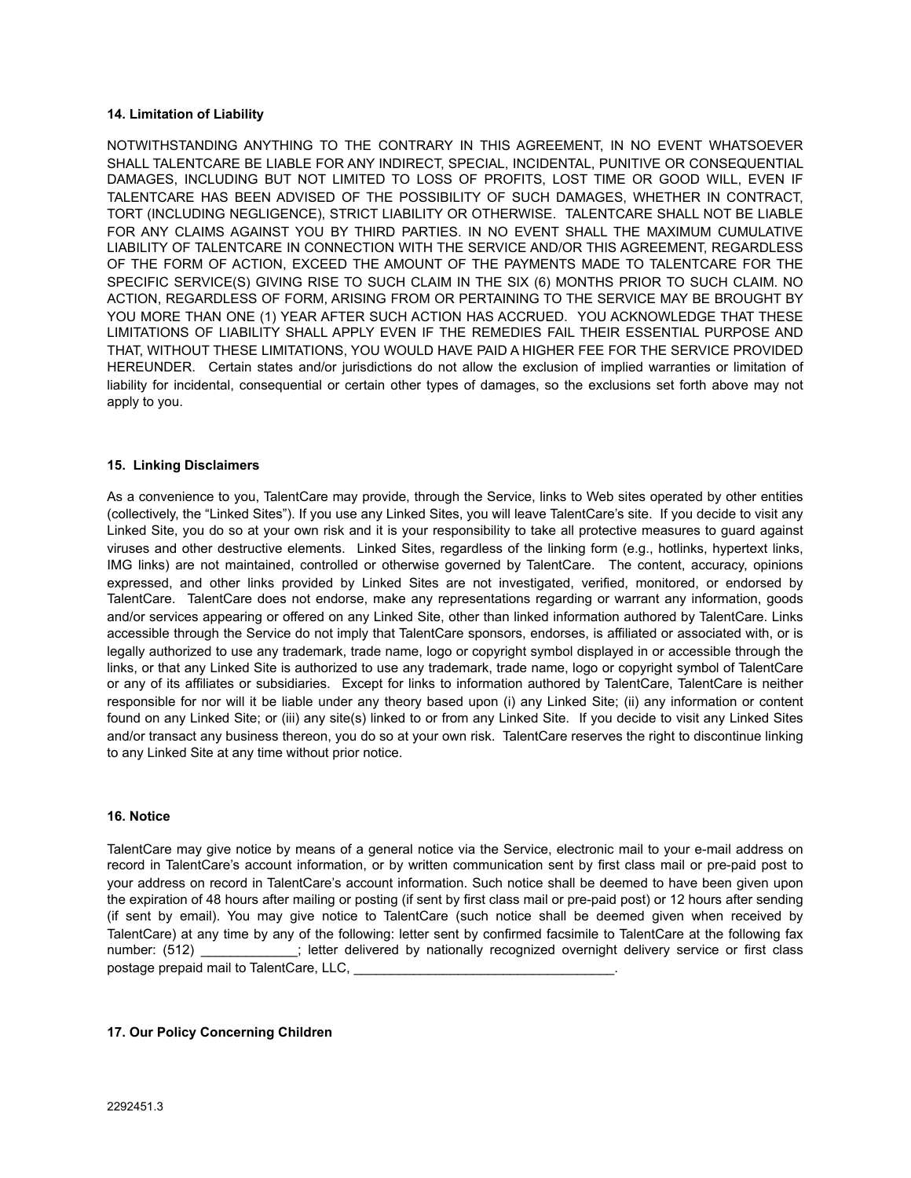### **14. Limitation of Liability**

NOTWITHSTANDING ANYTHING TO THE CONTRARY IN THIS AGREEMENT, IN NO EVENT WHATSOEVER SHALL TALENTCARE BE LIABLE FOR ANY INDIRECT, SPECIAL, INCIDENTAL, PUNITIVE OR CONSEQUENTIAL DAMAGES, INCLUDING BUT NOT LIMITED TO LOSS OF PROFITS, LOST TIME OR GOOD WILL, EVEN IF TALENTCARE HAS BEEN ADVISED OF THE POSSIBILITY OF SUCH DAMAGES, WHETHER IN CONTRACT, TORT (INCLUDING NEGLIGENCE), STRICT LIABILITY OR OTHERWISE. TALENTCARE SHALL NOT BE LIABLE FOR ANY CLAIMS AGAINST YOU BY THIRD PARTIES. IN NO EVENT SHALL THE MAXIMUM CUMULATIVE LIABILITY OF TALENTCARE IN CONNECTION WITH THE SERVICE AND/OR THIS AGREEMENT, REGARDLESS OF THE FORM OF ACTION, EXCEED THE AMOUNT OF THE PAYMENTS MADE TO TALENTCARE FOR THE SPECIFIC SERVICE(S) GIVING RISE TO SUCH CLAIM IN THE SIX (6) MONTHS PRIOR TO SUCH CLAIM. NO ACTION, REGARDLESS OF FORM, ARISING FROM OR PERTAINING TO THE SERVICE MAY BE BROUGHT BY YOU MORE THAN ONE (1) YEAR AFTER SUCH ACTION HAS ACCRUED. YOU ACKNOWLEDGE THAT THESE LIMITATIONS OF LIABILITY SHALL APPLY EVEN IF THE REMEDIES FAIL THEIR ESSENTIAL PURPOSE AND THAT, WITHOUT THESE LIMITATIONS, YOU WOULD HAVE PAID A HIGHER FEE FOR THE SERVICE PROVIDED HEREUNDER. Certain states and/or jurisdictions do not allow the exclusion of implied warranties or limitation of liability for incidental, consequential or certain other types of damages, so the exclusions set forth above may not apply to you.

## **15. Linking Disclaimers**

As a convenience to you, TalentCare may provide, through the Service, links to Web sites operated by other entities (collectively, the "Linked Sites"). If you use any Linked Sites, you will leave TalentCare's site. If you decide to visit any Linked Site, you do so at your own risk and it is your responsibility to take all protective measures to guard against viruses and other destructive elements. Linked Sites, regardless of the linking form (e.g., hotlinks, hypertext links, IMG links) are not maintained, controlled or otherwise governed by TalentCare. The content, accuracy, opinions expressed, and other links provided by Linked Sites are not investigated, verified, monitored, or endorsed by TalentCare. TalentCare does not endorse, make any representations regarding or warrant any information, goods and/or services appearing or offered on any Linked Site, other than linked information authored by TalentCare. Links accessible through the Service do not imply that TalentCare sponsors, endorses, is affiliated or associated with, or is legally authorized to use any trademark, trade name, logo or copyright symbol displayed in or accessible through the links, or that any Linked Site is authorized to use any trademark, trade name, logo or copyright symbol of TalentCare or any of its affiliates or subsidiaries. Except for links to information authored by TalentCare, TalentCare is neither responsible for nor will it be liable under any theory based upon (i) any Linked Site; (ii) any information or content found on any Linked Site; or (iii) any site(s) linked to or from any Linked Site. If you decide to visit any Linked Sites and/or transact any business thereon, you do so at your own risk. TalentCare reserves the right to discontinue linking to any Linked Site at any time without prior notice.

#### **16. Notice**

TalentCare may give notice by means of a general notice via the Service, electronic mail to your e-mail address on record in TalentCare's account information, or by written communication sent by first class mail or pre-paid post to your address on record in TalentCare's account information. Such notice shall be deemed to have been given upon the expiration of 48 hours after mailing or posting (if sent by first class mail or pre-paid post) or 12 hours after sending (if sent by email). You may give notice to TalentCare (such notice shall be deemed given when received by TalentCare) at any time by any of the following: letter sent by confirmed facsimile to TalentCare at the following fax number: (512) \_\_\_\_\_\_\_\_\_\_\_; letter delivered by nationally recognized overnight delivery service or first class postage prepaid mail to TalentCare, LLC,

## **17. Our Policy Concerning Children**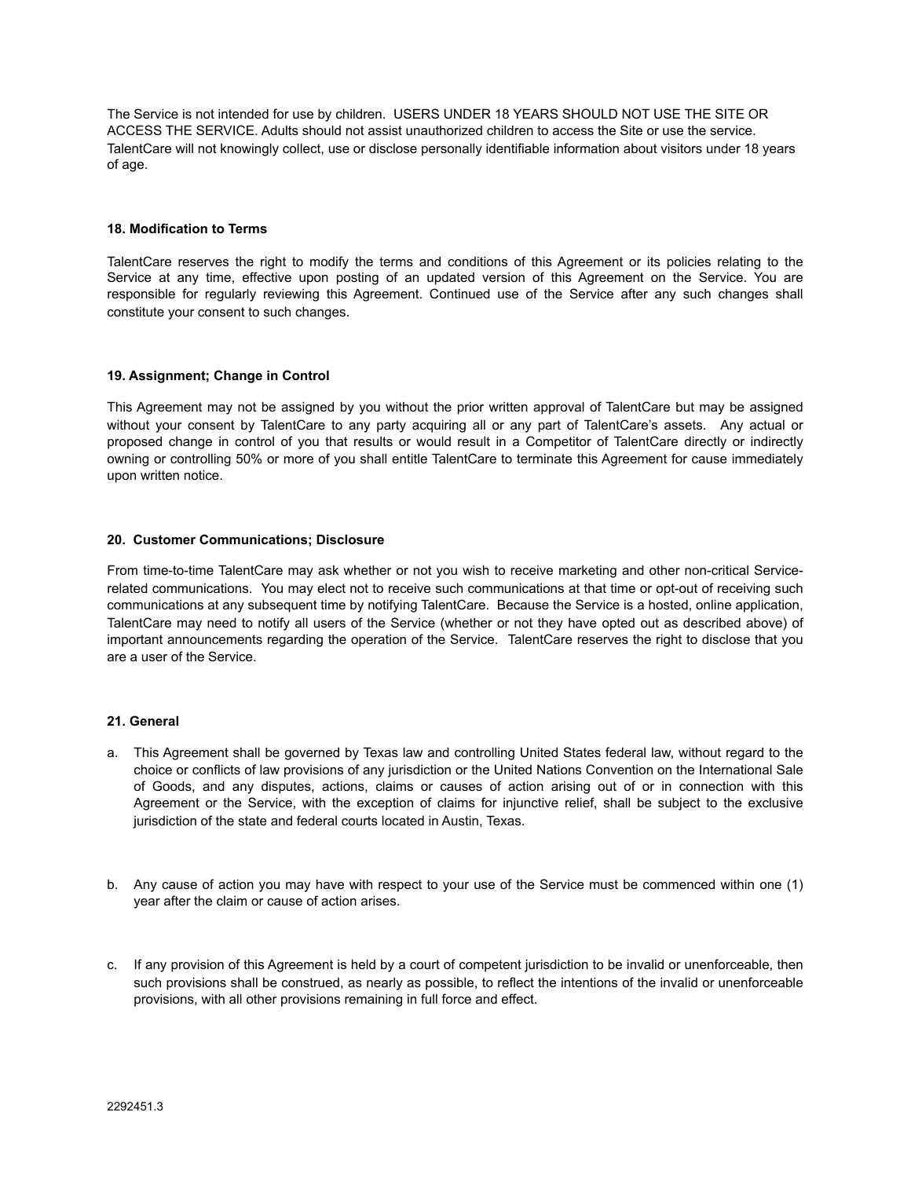The Service is not intended for use by children. USERS UNDER 18 YEARS SHOULD NOT USE THE SITE OR ACCESS THE SERVICE. Adults should not assist unauthorized children to access the Site or use the service. TalentCare will not knowingly collect, use or disclose personally identifiable information about visitors under 18 years of age.

## **18. Modification to Terms**

TalentCare reserves the right to modify the terms and conditions of this Agreement or its policies relating to the Service at any time, effective upon posting of an updated version of this Agreement on the Service. You are responsible for regularly reviewing this Agreement. Continued use of the Service after any such changes shall constitute your consent to such changes.

## **19. Assignment; Change in Control**

This Agreement may not be assigned by you without the prior written approval of TalentCare but may be assigned without your consent by TalentCare to any party acquiring all or any part of TalentCare's assets. Any actual or proposed change in control of you that results or would result in a Competitor of TalentCare directly or indirectly owning or controlling 50% or more of you shall entitle TalentCare to terminate this Agreement for cause immediately upon written notice.

### **20. Customer Communications; Disclosure**

From time-to-time TalentCare may ask whether or not you wish to receive marketing and other non-critical Servicerelated communications. You may elect not to receive such communications at that time or opt-out of receiving such communications at any subsequent time by notifying TalentCare. Because the Service is a hosted, online application, TalentCare may need to notify all users of the Service (whether or not they have opted out as described above) of important announcements regarding the operation of the Service. TalentCare reserves the right to disclose that you are a user of the Service.

### **21. General**

- a. This Agreement shall be governed by Texas law and controlling United States federal law, without regard to the choice or conflicts of law provisions of any jurisdiction or the United Nations Convention on the International Sale of Goods, and any disputes, actions, claims or causes of action arising out of or in connection with this Agreement or the Service, with the exception of claims for injunctive relief, shall be subject to the exclusive jurisdiction of the state and federal courts located in Austin, Texas.
- b. Any cause of action you may have with respect to your use of the Service must be commenced within one (1) year after the claim or cause of action arises.
- c. If any provision of this Agreement is held by a court of competent jurisdiction to be invalid or unenforceable, then such provisions shall be construed, as nearly as possible, to reflect the intentions of the invalid or unenforceable provisions, with all other provisions remaining in full force and effect.